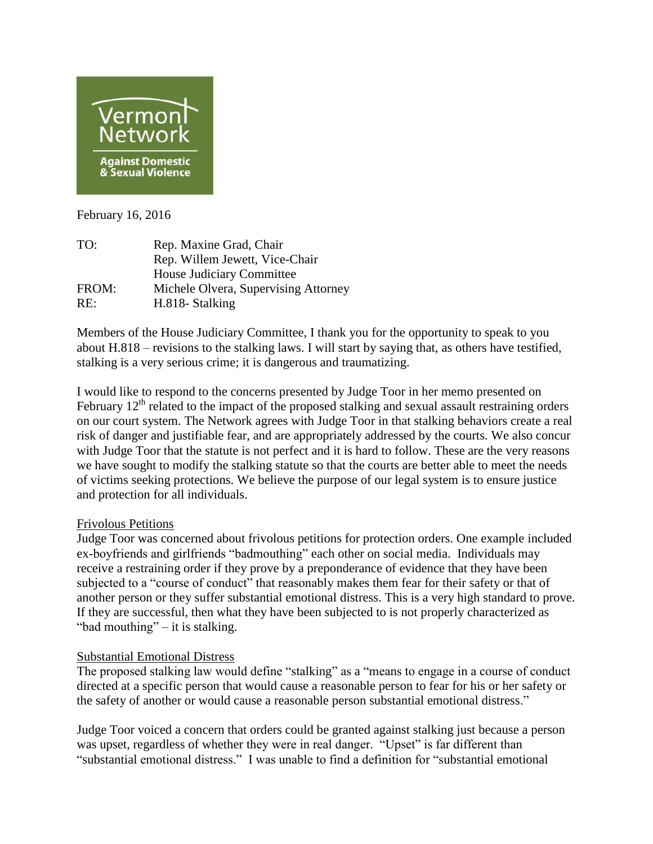

February 16, 2016

| TO:   | Rep. Maxine Grad, Chair              |
|-------|--------------------------------------|
|       | Rep. Willem Jewett, Vice-Chair       |
|       | House Judiciary Committee            |
| FROM: | Michele Olvera, Supervising Attorney |
| RE:   | H.818- Stalking                      |
|       |                                      |

Members of the House Judiciary Committee, I thank you for the opportunity to speak to you about H.818 – revisions to the stalking laws. I will start by saying that, as others have testified, stalking is a very serious crime; it is dangerous and traumatizing.

I would like to respond to the concerns presented by Judge Toor in her memo presented on February  $12<sup>th</sup>$  related to the impact of the proposed stalking and sexual assault restraining orders on our court system. The Network agrees with Judge Toor in that stalking behaviors create a real risk of danger and justifiable fear, and are appropriately addressed by the courts. We also concur with Judge Toor that the statute is not perfect and it is hard to follow. These are the very reasons we have sought to modify the stalking statute so that the courts are better able to meet the needs of victims seeking protections. We believe the purpose of our legal system is to ensure justice and protection for all individuals.

## Frivolous Petitions

Judge Toor was concerned about frivolous petitions for protection orders. One example included ex-boyfriends and girlfriends "badmouthing" each other on social media. Individuals may receive a restraining order if they prove by a preponderance of evidence that they have been subjected to a "course of conduct" that reasonably makes them fear for their safety or that of another person or they suffer substantial emotional distress. This is a very high standard to prove. If they are successful, then what they have been subjected to is not properly characterized as "bad mouthing" – it is stalking.

# Substantial Emotional Distress

The proposed stalking law would define "stalking" as a "means to engage in a course of conduct directed at a specific person that would cause a reasonable person to fear for his or her safety or the safety of another or would cause a reasonable person substantial emotional distress."

Judge Toor voiced a concern that orders could be granted against stalking just because a person was upset, regardless of whether they were in real danger. "Upset" is far different than "substantial emotional distress." I was unable to find a definition for "substantial emotional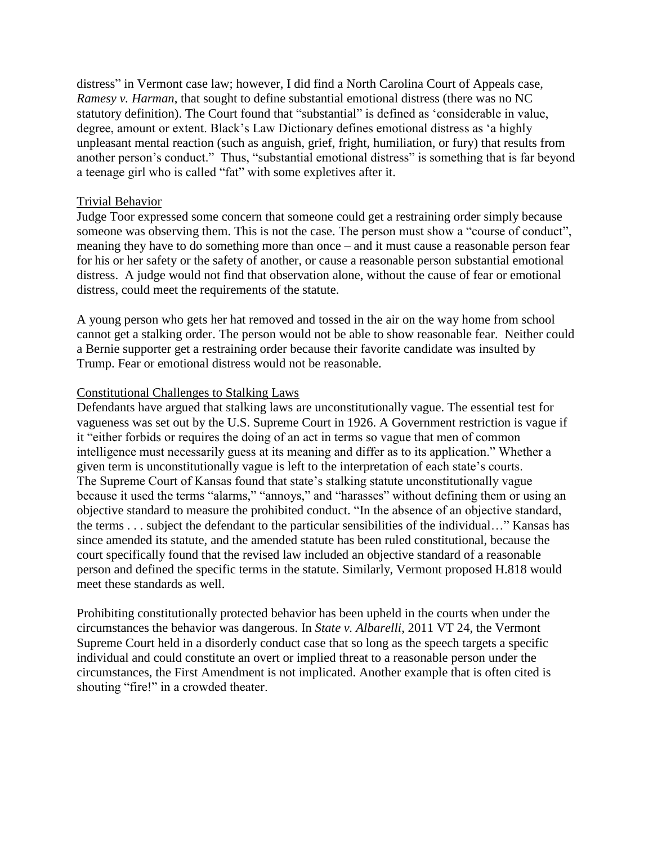distress" in Vermont case law; however, I did find a North Carolina Court of Appeals case, *Ramesy v. Harman*, that sought to define substantial emotional distress (there was no NC statutory definition). The Court found that "substantial" is defined as 'considerable in value, degree, amount or extent. Black's Law Dictionary defines emotional distress as 'a highly unpleasant mental reaction (such as anguish, grief, fright, humiliation, or fury) that results from another person's conduct." Thus, "substantial emotional distress" is something that is far beyond a teenage girl who is called "fat" with some expletives after it.

#### Trivial Behavior

Judge Toor expressed some concern that someone could get a restraining order simply because someone was observing them. This is not the case. The person must show a "course of conduct", meaning they have to do something more than once – and it must cause a reasonable person fear for his or her safety or the safety of another, or cause a reasonable person substantial emotional distress. A judge would not find that observation alone, without the cause of fear or emotional distress, could meet the requirements of the statute.

A young person who gets her hat removed and tossed in the air on the way home from school cannot get a stalking order. The person would not be able to show reasonable fear. Neither could a Bernie supporter get a restraining order because their favorite candidate was insulted by Trump. Fear or emotional distress would not be reasonable.

## Constitutional Challenges to Stalking Laws

Defendants have argued that stalking laws are unconstitutionally vague. The essential test for vagueness was set out by the U.S. Supreme Court in 1926. A Government restriction is vague if it "either forbids or requires the doing of an act in terms so vague that men of common intelligence must necessarily guess at its meaning and differ as to its application." Whether a given term is unconstitutionally vague is left to the interpretation of each state's courts. The Supreme Court of Kansas found that state's stalking statute unconstitutionally vague because it used the terms "alarms," "annoys," and "harasses" without defining them or using an objective standard to measure the prohibited conduct. "In the absence of an objective standard, the terms . . . subject the defendant to the particular sensibilities of the individual…" Kansas has since amended its statute, and the amended statute has been ruled constitutional, because the court specifically found that the revised law included an objective standard of a reasonable person and defined the specific terms in the statute. Similarly, Vermont proposed H.818 would meet these standards as well.

Prohibiting constitutionally protected behavior has been upheld in the courts when under the circumstances the behavior was dangerous. In *State v. Albarelli*, 2011 VT 24, the Vermont Supreme Court held in a disorderly conduct case that so long as the speech targets a specific individual and could constitute an overt or implied threat to a reasonable person under the circumstances, the First Amendment is not implicated. Another example that is often cited is shouting "fire!" in a crowded theater.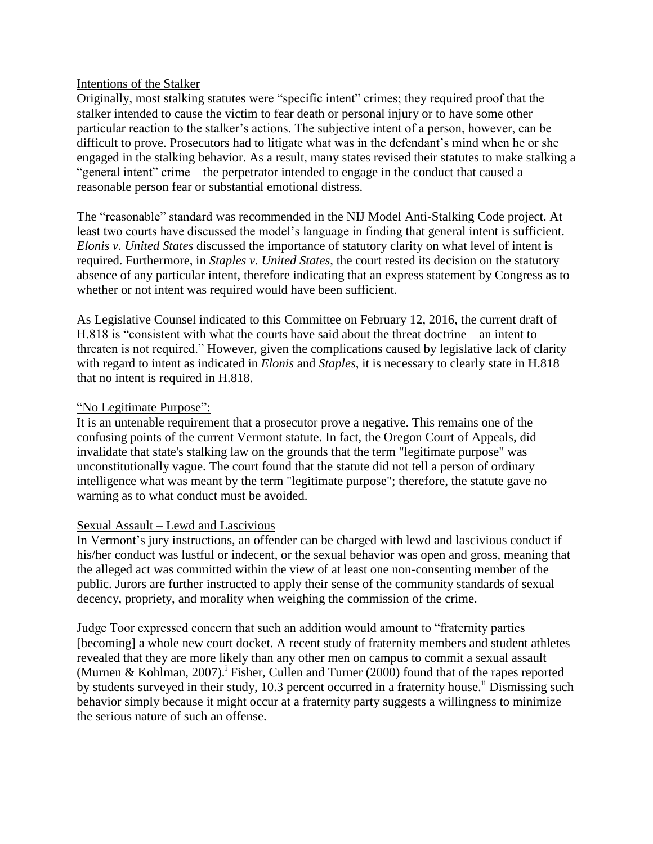#### Intentions of the Stalker

Originally, most stalking statutes were "specific intent" crimes; they required proof that the stalker intended to cause the victim to fear death or personal injury or to have some other particular reaction to the stalker's actions. The subjective intent of a person, however, can be difficult to prove. Prosecutors had to litigate what was in the defendant's mind when he or she engaged in the stalking behavior. As a result, many states revised their statutes to make stalking a "general intent" crime – the perpetrator intended to engage in the conduct that caused a reasonable person fear or substantial emotional distress.

The "reasonable" standard was recommended in the NIJ Model Anti-Stalking Code project. At least two courts have discussed the model's language in finding that general intent is sufficient. *Elonis v. United States* discussed the importance of statutory clarity on what level of intent is required. Furthermore, in *Staples v. United States*, the court rested its decision on the statutory absence of any particular intent, therefore indicating that an express statement by Congress as to whether or not intent was required would have been sufficient.

As Legislative Counsel indicated to this Committee on February 12, 2016, the current draft of H.818 is "consistent with what the courts have said about the threat doctrine – an intent to threaten is not required." However, given the complications caused by legislative lack of clarity with regard to intent as indicated in *Elonis* and *Staples*, it is necessary to clearly state in H.818 that no intent is required in H.818.

# "No Legitimate Purpose":

It is an untenable requirement that a prosecutor prove a negative. This remains one of the confusing points of the current Vermont statute. In fact, the Oregon Court of Appeals, did invalidate that state's stalking law on the grounds that the term "legitimate purpose" was unconstitutionally vague. The court found that the statute did not tell a person of ordinary intelligence what was meant by the term "legitimate purpose"; therefore, the statute gave no warning as to what conduct must be avoided.

## Sexual Assault – Lewd and Lascivious

In Vermont's jury instructions, an offender can be charged with lewd and lascivious conduct if his/her conduct was lustful or indecent, or the sexual behavior was open and gross, meaning that the alleged act was committed within the view of at least one non-consenting member of the public. Jurors are further instructed to apply their sense of the community standards of sexual decency, propriety, and morality when weighing the commission of the crime.

Judge Toor expressed concern that such an addition would amount to "fraternity parties [becoming] a whole new court docket. A recent study of fraternity members and student athletes revealed that they are more likely than any other men on campus to commit a sexual assault (Murnen & Kohlman, 2007).<sup>i</sup> Fisher, Cullen and Turner (2000) found that of the rapes reported by students surveyed in their study, 10.3 percent occurred in a fraternity house.<sup>ii</sup> Dismissing such behavior simply because it might occur at a fraternity party suggests a willingness to minimize the serious nature of such an offense.